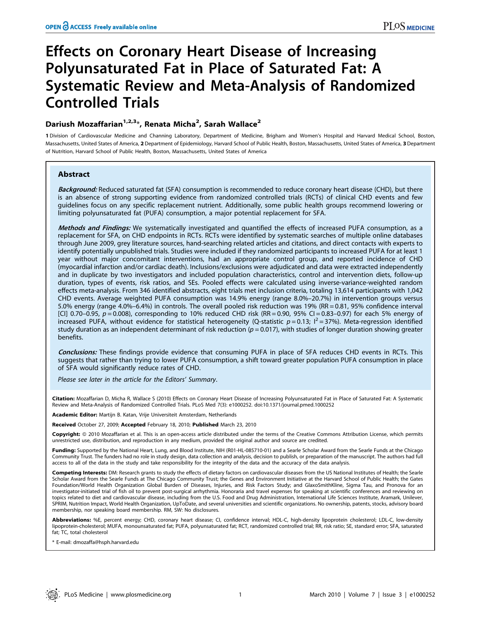# Effects on Coronary Heart Disease of Increasing Polyunsaturated Fat in Place of Saturated Fat: A Systematic Review and Meta-Analysis of Randomized Controlled Trials

## Dariush Mozaffarian<sup>1,2,3</sup>\*, Renata Micha<sup>2</sup>, Sarah Wallace<sup>2</sup>

1 Division of Cardiovascular Medicine and Channing Laboratory, Department of Medicine, Brigham and Women's Hospital and Harvard Medical School, Boston, Massachusetts, United States of America, 2 Department of Epidemiology, Harvard School of Public Health, Boston, Massachusetts, United States of America, 3 Department of Nutrition, Harvard School of Public Health, Boston, Massachusetts, United States of America

## Abstract

Background: Reduced saturated fat (SFA) consumption is recommended to reduce coronary heart disease (CHD), but there is an absence of strong supporting evidence from randomized controlled trials (RCTs) of clinical CHD events and few guidelines focus on any specific replacement nutrient. Additionally, some public health groups recommend lowering or limiting polyunsaturated fat (PUFA) consumption, a major potential replacement for SFA.

Methods and Findings: We systematically investigated and quantified the effects of increased PUFA consumption, as a replacement for SFA, on CHD endpoints in RCTs. RCTs were identified by systematic searches of multiple online databases through June 2009, grey literature sources, hand-searching related articles and citations, and direct contacts with experts to identify potentially unpublished trials. Studies were included if they randomized participants to increased PUFA for at least 1 year without major concomitant interventions, had an appropriate control group, and reported incidence of CHD (myocardial infarction and/or cardiac death). Inclusions/exclusions were adjudicated and data were extracted independently and in duplicate by two investigators and included population characteristics, control and intervention diets, follow-up duration, types of events, risk ratios, and SEs. Pooled effects were calculated using inverse-variance-weighted random effects meta-analysis. From 346 identified abstracts, eight trials met inclusion criteria, totaling 13,614 participants with 1,042 CHD events. Average weighted PUFA consumption was 14.9% energy (range 8.0%–20.7%) in intervention groups versus 5.0% energy (range 4.0%–6.4%) in controls. The overall pooled risk reduction was 19% (RR = 0.81, 95% confidence interval [CI] 0.70–0.95,  $p = 0.008$ ), corresponding to 10% reduced CHD risk (RR = 0.90, 95% CI = 0.83–0.97) for each 5% energy of increased PUFA, without evidence for statistical heterogeneity (Q-statistic  $p = 0.13$ ;  $I^2 = 37$ %). Meta-regression identified study duration as an independent determinant of risk reduction  $(p = 0.017)$ , with studies of longer duration showing greater benefits.

Conclusions: These findings provide evidence that consuming PUFA in place of SFA reduces CHD events in RCTs. This suggests that rather than trying to lower PUFA consumption, a shift toward greater population PUFA consumption in place of SFA would significantly reduce rates of CHD.

Please see later in the article for the Editors' Summary.

Citation: Mozaffarian D, Micha R, Wallace S (2010) Effects on Coronary Heart Disease of Increasing Polyunsaturated Fat in Place of Saturated Fat: A Systematic Review and Meta-Analysis of Randomized Controlled Trials. PLoS Med 7(3): e1000252. doi:10.1371/journal.pmed.1000252

Academic Editor: Martijn B. Katan, Vrije Universiteit Amsterdam, Netherlands

Received October 27, 2009; Accepted February 18, 2010; Published March 23, 2010

**Copyright:** © 2010 Mozaffarian et al. This is an open-access article distributed under the terms of the Creative Commons Attribution License, which permits unrestricted use, distribution, and reproduction in any medium, provided the original author and source are credited.

Funding: Supported by the National Heart, Lung, and Blood Institute, NIH (R01-HL-085710-01) and a Searle Scholar Award from the Searle Funds at the Chicago Community Trust. The funders had no role in study design, data collection and analysis, decision to publish, or preparation of the manuscript. The authors had full access to all of the data in the study and take responsibility for the integrity of the data and the accuracy of the data analysis.

Competing Interests: DM: Research grants to study the effects of dietary factors on cardiovascular diseases from the US National Institutes of Health; the Searle Scholar Award from the Searle Funds at The Chicago Community Trust; the Genes and Environment Initiative at the Harvard School of Public Health; the Gates Foundation/World Health Organization Global Burden of Diseases, Injuries, and Risk Factors Study; and GlaxoSmithKline, Sigma Tau, and Pronova for an investigator-initiated trial of fish oil to prevent post-surgical arrhythmia. Honoraria and travel expenses for speaking at scientific conferences and reviewing on topics related to diet and cardiovascular disease, including from the U.S. Food and Drug Administration, International Life Sciences Institute, Aramark, Unilever, SPRIM, Nutrition Impact, World Health Organization, UpToDate, and several universities and scientific organizations. No ownership, patents, stocks, advisory board membership, nor speaking board membership. RM, SW: No disclosures.

Abbreviations: %E, percent energy; CHD, coronary heart disease; CI, confidence interval; HDL-C, high-density lipoprotein cholesterol; LDL-C, low-density lipoprotein-cholesterol; MUFA, monounsaturated fat; PUFA, polyunsaturated fat; RCT, randomized controlled trial; RR, risk ratio; SE, standard error; SFA, saturated fat; TC, total cholesterol

\* E-mail: dmozaffa@hsph.harvard.edu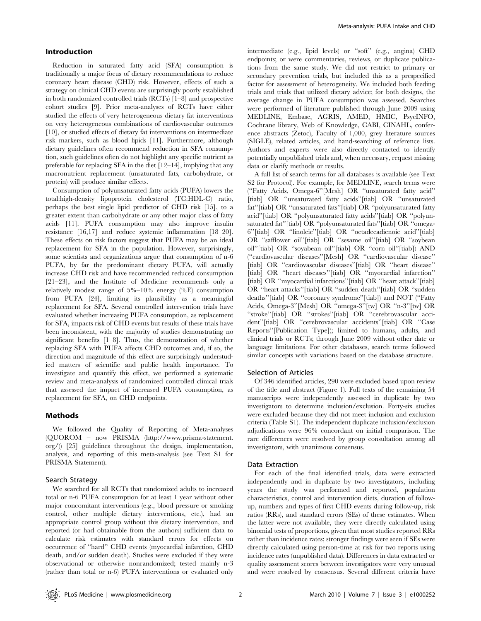## Introduction

Reduction in saturated fatty acid (SFA) consumption is traditionally a major focus of dietary recommendations to reduce coronary heart disease (CHD) risk. However, effects of such a strategy on clinical CHD events are surprisingly poorly established in both randomized controlled trials (RCTs) [1–8] and prospective cohort studies [9]. Prior meta-analyses of RCTs have either studied the effects of very heterogeneous dietary fat interventions on very heterogeneous combinations of cardiovascular outcomes [10], or studied effects of dietary fat interventions on intermediate risk markers, such as blood lipids [11]. Furthermore, although dietary guidelines often recommend reduction in SFA consumption, such guidelines often do not highlight any specific nutrient as preferable for replacing SFA in the diet [12–14], implying that any macronutrient replacement (unsaturated fats, carbohydrate, or protein) will produce similar effects.

Consumption of polyunsaturated fatty acids (PUFA) lowers the total:high-density lipoprotein cholesterol (TC:HDL-C) ratio, perhaps the best single lipid predictor of CHD risk [15], to a greater extent than carbohydrate or any other major class of fatty acids [11]. PUFA consumption may also improve insulin resistance [16,17] and reduce systemic inflammation [18–20]. These effects on risk factors suggest that PUFA may be an ideal replacement for SFA in the population. However, surprisingly, some scientists and organizations argue that consumption of n-6 PUFA, by far the predominant dietary PUFA, will actually increase CHD risk and have recommended reduced consumption [21–23], and the Institute of Medicine recommends only a relatively modest range of 5%–10% energy (%E) consumption from PUFA [24], limiting its plausibility as a meaningful replacement for SFA. Several controlled intervention trials have evaluated whether increasing PUFA consumption, as replacement for SFA, impacts risk of CHD events but results of these trials have been inconsistent, with the majority of studies demonstrating no significant benefits [1–8]. Thus, the demonstration of whether replacing SFA with PUFA affects CHD outcomes and, if so, the direction and magnitude of this effect are surprisingly understudied matters of scientific and public health importance. To investigate and quantify this effect, we performed a systematic review and meta-analysis of randomized controlled clinical trials that assessed the impact of increased PUFA consumption, as replacement for SFA, on CHD endpoints.

## Methods

We followed the Quality of Reporting of Meta-analyses (QUOROM – now PRISMA (http://www.prisma-statement. org/)) [25] guidelines throughout the design, implementation, analysis, and reporting of this meta-analysis (see Text S1 for PRISMA Statement).

## Search Strategy

We searched for all RCTs that randomized adults to increased total or n-6 PUFA consumption for at least 1 year without other major concomitant interventions (e.g., blood pressure or smoking control, other multiple dietary interventions, etc.), had an appropriate control group without this dietary intervention, and reported (or had obtainable from the authors) sufficient data to calculate risk estimates with standard errors for effects on occurrence of ''hard'' CHD events (myocardial infarction, CHD death, and/or sudden death). Studies were excluded if they were observational or otherwise nonrandomized; tested mainly n-3 (rather than total or n-6) PUFA interventions or evaluated only

intermediate (e.g., lipid levels) or ''soft'' (e.g., angina) CHD endpoints; or were commentaries, reviews, or duplicate publications from the same study. We did not restrict to primary or secondary prevention trials, but included this as a prespecified factor for assessment of heterogeneity. We included both feeding trials and trials that utilized dietary advice; for both designs, the average change in PUFA consumption was assessed. Searches were performed of literature published through June 2009 using MEDLINE, Embase, AGRIS, AMED, HMIC, PsycINFO, Cochrane library, Web of Knowledge, CABI, CINAHL, conference abstracts (Zetoc), Faculty of 1,000, grey literature sources (SIGLE), related articles, and hand-searching of reference lists. Authors and experts were also directly contacted to identify potentially unpublished trials and, when necessary, request missing data or clarify methods or results.

A full list of search terms for all databases is available (see Text S2 for Protocol). For example, for MEDLINE, search terms were (''Fatty Acids, Omega-6''[Mesh] OR ''unsaturated fatty acid'' [tiab] OR "unsaturated fatty acids"[tiab] OR "unsaturated fat''[tiab] OR ''unsaturated fats''[tiab] OR ''polyunsaturated fatty acid''[tiab] OR ''polyunsaturated fatty acids''[tiab] OR ''polyunsaturated fat"[tiab] OR "polyunsaturated fats"[tiab] OR "omega-6''[tiab] OR ''linoleic''[tiab] OR ''octadecadienoic acid''[tiab] OR ''safflower oil''[tiab] OR ''sesame oil''[tiab] OR ''soybean oil''[tiab] OR ''soyabean oil''[tiab] OR ''corn oil''[tiab]) AND (''cardiovascular diseases''[Mesh] OR ''cardiovascular disease'' [tiab] OR "cardiovascular diseases"[tiab] OR "heart disease" [tiab] OR "heart diseases"[tiab] OR "myocardial infarction" [tiab] OR "myocardial infarctions"[tiab] OR "heart attack"[tiab] OR ''heart attacks''[tiab] OR ''sudden death''[tiab] OR ''sudden deaths''[tiab] OR ''coronary syndrome''[tiab]) and NOT (''Fatty Acids, Omega-3''[Mesh] OR ''omega-3''[tw] OR ''n-3''[tw] OR ''stroke''[tiab] OR ''strokes''[tiab] OR ''cerebrovascular accident''[tiab] OR ''cerebrovascular accidents''[tiab] OR ''Case Reports''[Publication Type]); limited to humans, adults, and clinical trials or RCTs; through June 2009 without other date or language limitations. For other databases, search terms followed similar concepts with variations based on the database structure.

## Selection of Articles

Of 346 identified articles, 290 were excluded based upon review of the title and abstract (Figure 1). Full texts of the remaining 54 manuscripts were independently assessed in duplicate by two investigators to determine inclusion/exclusion. Forty-six studies were excluded because they did not meet inclusion and exclusion criteria (Table S1). The independent duplicate inclusion/exclusion adjudications were 96% concordant on initial comparison. The rare differences were resolved by group consultation among all investigators, with unanimous consensus.

## Data Extraction

For each of the final identified trials, data were extracted independently and in duplicate by two investigators, including years the study was performed and reported, population characteristics, control and intervention diets, duration of followup, numbers and types of first CHD events during follow-up, risk ratios (RRs), and standard errors (SEs) of these estimates. When the latter were not available, they were directly calculated using binomial tests of proportions, given that most studies reported RRs rather than incidence rates; stronger findings were seen if SEs were directly calculated using person-time at risk for two reports using incidence rates (unpublished data). Differences in data extracted or quality assessment scores between investigators were very unusual and were resolved by consensus. Several different criteria have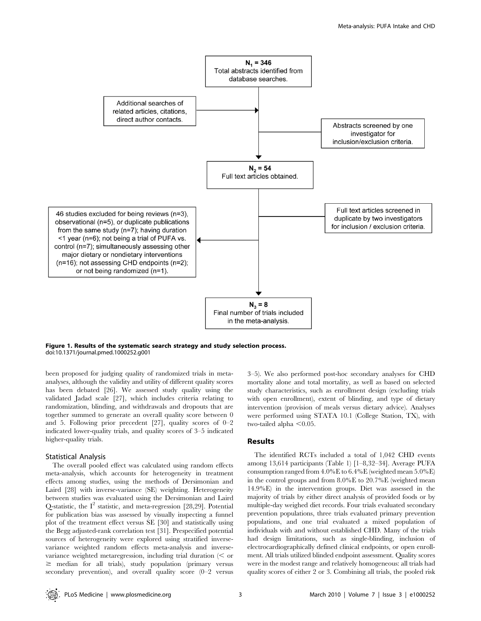

Figure 1. Results of the systematic search strategy and study selection process. doi:10.1371/journal.pmed.1000252.g001

been proposed for judging quality of randomized trials in metaanalyses, although the validity and utility of different quality scores has been debated [26]. We assessed study quality using the validated Jadad scale [27], which includes criteria relating to randomization, blinding, and withdrawals and dropouts that are together summed to generate an overall quality score between 0 and 5. Following prior precedent [27], quality scores of 0–2 indicated lower-quality trials, and quality scores of 3–5 indicated higher-quality trials.

## Statistical Analysis

The overall pooled effect was calculated using random effects meta-analysis, which accounts for heterogeneity in treatment effects among studies, using the methods of Dersimonian and Laird [28] with inverse-variance (SE) weighting. Heterogeneity between studies was evaluated using the Dersimonian and Laird Q-statistic, the  $I^2$  statistic, and meta-regression [28,29]. Potential for publication bias was assessed by visually inspecting a funnel plot of the treatment effect versus SE [30] and statistically using the Begg adjusted-rank correlation test [31]. Prespecified potential sources of heterogeneity were explored using stratified inversevariance weighted random effects meta-analysis and inversevariance weighted metaregression, including trial duration  $\leq$  or  $\geq$  median for all trials), study population (primary versus secondary prevention), and overall quality score (0–2 versus 3–5). We also performed post-hoc secondary analyses for CHD mortality alone and total mortality, as well as based on selected study characteristics, such as enrollment design (excluding trials with open enrollment), extent of blinding, and type of dietary intervention (provision of meals versus dietary advice). Analyses were performed using STATA 10.1 (College Station, TX), with two-tailed alpha  $< 0.05$ .

## Results

The identified RCTs included a total of 1,042 CHD events among 13,614 participants (Table 1) [1–8,32–34]. Average PUFA consumption ranged from 4.0%E to 6.4%E (weighted mean 5.0%E) in the control groups and from 8.0%E to 20.7%E (weighted mean 14.9%E) in the intervention groups. Diet was assessed in the majority of trials by either direct analysis of provided foods or by multiple-day weighed diet records. Four trials evaluated secondary prevention populations, three trials evaluated primary prevention populations, and one trial evaluated a mixed population of individuals with and without established CHD. Many of the trials had design limitations, such as single-blinding, inclusion of electrocardiographically defined clinical endpoints, or open enrollment. All trials utilized blinded endpoint assessment. Quality scores were in the modest range and relatively homogeneous: all trials had quality scores of either 2 or 3. Combining all trials, the pooled risk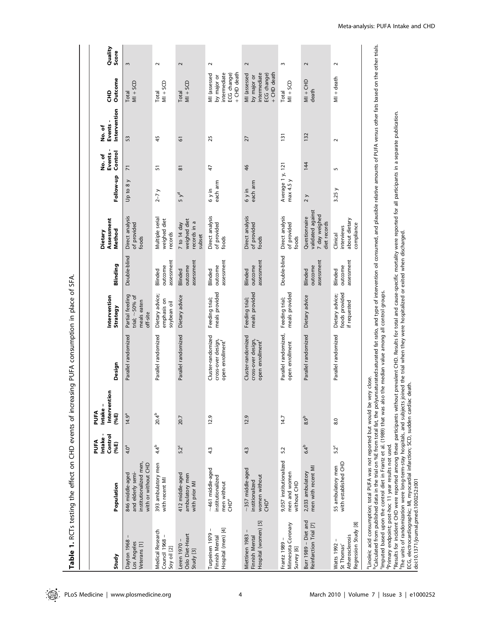Table 1. RCTs testing the effect on CHD events of increasing PUFA consumption in place of SFA. Table 1. RCTs testing the effect on CHD events of increasing PUFA consumption in place of SFA.

| <sup>b</sup> Calculated from published data in the trial on %E from total fat, the polyunsaturated fat ratio, and type of intervention oil consumed, and plausible relative amounts of PUFA versus other fats based on the other trials.<br>Quality<br>Score<br>$\sim$<br>2<br>3<br>$\sim$<br>$\sim$<br>ω<br>$\sim$<br>$\sim$<br>+ CHD death<br>+ CHD death<br>intermediate<br>intermediate<br>ECG change)<br>ECG change)<br>MI (assessed<br>MI (assessed<br>by major or<br>by major or<br>$MI +$ death<br>Outcome<br>$M + CHD$<br>$MN + SCD$<br>$M + SCD$<br>$MI + SCD$<br>$MN + SCD$<br>death<br>문<br>Total<br>Total<br>Total<br>Total<br>Intervention<br>"Results for incident CHD were reported among these participants without prevalent CHD. Results for total and cause-specific mortality were reported for all participants in a separate publication.<br>Events -<br>ho. of<br>132<br>131<br>53<br>45<br>25<br>27<br>61<br>$\sim$<br>Control<br>Events<br>No. of<br>144<br>Average 1 y, 121<br>46<br>51<br>47<br>$\overline{7}$<br>$\overline{8}$<br>5<br>Follow-up<br>max 4.5 y<br>Up to 8 y<br>each arm<br>each arm<br>3.25y<br>$6y$ in<br>$6y$ in<br>$2-7y$<br>$5y^d$<br>2 y<br>validated against<br>7 day weighed<br>Direct analysis<br>Direct analysis<br>Direct analysis<br>Direct analysis<br>Questionnaire<br>Multiple serial<br>Assessment<br>weighed diet<br>about dietary<br>weighed diet<br>records in a<br>diet records<br>7 to 14 day<br>of provided<br>of provided<br>of provided<br>of provided<br>compliance<br>interviews<br>Method<br>Dietary<br>The units of randomization were long-term-stay hospitals, and subjects joined the trial when they were hospitalized or exited when discharged.<br>records<br>Clinical<br>subset<br>foods<br>foods<br>foods<br>foods<br>Double-blind<br>Double-blind<br>assessment<br>assessment<br>assessment<br>assessment<br>assessment<br>assessment<br>Blinding<br>outcome<br>outcome<br>outcome<br>outcome<br>outcome<br>outcome<br>Blinded<br>Blinded<br>Blinded<br>Blinded<br>Blinded<br>Blinded<br>the median value among all control groups.<br>meals provided<br>meals provided<br>foods provided<br>meals provided<br>Dietary advice;<br>Dietary advice;<br>Partial feeding<br>Dietary advice<br>Dietary advice<br>Intervention<br>trial; $\sim$ 50% of<br>Feeding trial;<br>Feeding trial;<br>Feeding trial;<br>emphasis on<br>meals eaten<br>if requested<br>soybean oil<br>Strategy<br>off-site<br>Parallel randomized,<br>Parallel randomized<br>Parallel randomized<br>Parallel randomized<br>Parallel randomized<br>Parallel randomized<br>Cluster-randomized<br>Cluster-randomized<br>cross-over design,<br>cross-over design,<br>open enrollment <sup>f</sup><br>open enrollment <sup>f</sup><br>open enrollment<br>Design<br>aLinoleic acid consumption; total PUFA was not reported but would be very close.<br>teath.<br>c<br>Interventio<br>Imputed based upon the control diet in Frantz et al. (1989) that was also<br>ECG, electrocardiographic; MI, myocardial infarction; SCD, sudden cardiac o<br>Intake -<br>PUFA<br>(%E)<br>$20.4^{b}$<br>$14.9^a$<br>12.9<br>12.9<br>20.7<br>14.7<br>8.9 <sup>b</sup><br>8.0<br>Control<br>Intake<br>PUFA<br>$(*eE)$<br><sup>d</sup> Primary endpoint; post-hoc 11 year results not used.<br>$4.4^{b}$<br>$6.4^{b}$<br>52 <sup>c</sup><br>$5.2^c$<br>4.0 <sup>a</sup><br>4.3<br>5.2<br>43<br>9,057 institutionalized<br>with established CHD<br>institutionalized men,<br>with or without CHD<br>393 ambulatory men<br>55 ambulatory men<br>men with recent MI<br>~461 middle-aged<br>$\sim$ 357 middle-aged<br>2,033 ambulatory<br>men and women<br>and elderly semi-<br>412 middle-aged<br>846 middle-aged<br>ambulatory men<br>institutionalized<br>women without<br>with recent MI<br>doi:10.1371/journal.pmed.1000252.t001<br>institionalized<br>men without<br>with prior MI<br>without CHD<br>Population<br><b>CHD<sup>e</sup></b><br><b>CHD<sup>e</sup></b><br>Burr 1989 - Diet and<br>Hospital (women) [5]<br>Regression Study [8]<br>Minnesota Coronary<br>Reinfarction Trial [7]<br>Hospital (men) [4]<br>1<br>Medical Research<br>Turpeinen 1979<br>Oslo Diet-Heart<br>Miettinen 1983<br>Atherosclerosis<br>Finnish Mental<br>Finnish Mental<br>Council 1968<br>Dayton 1968<br>Los Angeles<br>Frantz 1989<br>Veterans [1]<br>Leren 1970<br><b>Watts 1992</b><br>St Thomas'<br>Soy oil [2]<br>Survey [6]<br>Study [3]<br>Study |  |  |  |  |  |  |  |
|--------------------------------------------------------------------------------------------------------------------------------------------------------------------------------------------------------------------------------------------------------------------------------------------------------------------------------------------------------------------------------------------------------------------------------------------------------------------------------------------------------------------------------------------------------------------------------------------------------------------------------------------------------------------------------------------------------------------------------------------------------------------------------------------------------------------------------------------------------------------------------------------------------------------------------------------------------------------------------------------------------------------------------------------------------------------------------------------------------------------------------------------------------------------------------------------------------------------------------------------------------------------------------------------------------------------------------------------------------------------------------------------------------------------------------------------------------------------------------------------------------------------------------------------------------------------------------------------------------------------------------------------------------------------------------------------------------------------------------------------------------------------------------------------------------------------------------------------------------------------------------------------------------------------------------------------------------------------------------------------------------------------------------------------------------------------------------------------------------------------------------------------------------------------------------------------------------------------------------------------------------------------------------------------------------------------------------------------------------------------------------------------------------------------------------------------------------------------------------------------------------------------------------------------------------------------------------------------------------------------------------------------------------------------------------------------------------------------------------------------------------------------------------------------------------------------------------------------------------------------------------------------------------------------------------------------------------------------------------------------------------------------------------------------------------------------------------------------------------------------------------------------------------------------------------------------------------------------------------------------------------------------------------------------------------------------------------------------------------------------------------------------------------------------------------------------------------------------------------------------------------------------------------------------------------------------------------------------------------------------------------------------------------------------------------------------------------------------------------------------------------------------------------------------------------------------------------------------------------------------------------------------------------------------------------------------------------------------------------------------------------------------------------------------------------------------------------------------------------------------------------------------------------------------------------------------------------------------------------------------------------------------------------------------------------------------------------------------------------------------------------------------------------------------------------------------------------------------------|--|--|--|--|--|--|--|
|                                                                                                                                                                                                                                                                                                                                                                                                                                                                                                                                                                                                                                                                                                                                                                                                                                                                                                                                                                                                                                                                                                                                                                                                                                                                                                                                                                                                                                                                                                                                                                                                                                                                                                                                                                                                                                                                                                                                                                                                                                                                                                                                                                                                                                                                                                                                                                                                                                                                                                                                                                                                                                                                                                                                                                                                                                                                                                                                                                                                                                                                                                                                                                                                                                                                                                                                                                                                                                                                                                                                                                                                                                                                                                                                                                                                                                                                                                                                                                                                                                                                                                                                                                                                                                                                                                                                                                                                                                                                          |  |  |  |  |  |  |  |
|                                                                                                                                                                                                                                                                                                                                                                                                                                                                                                                                                                                                                                                                                                                                                                                                                                                                                                                                                                                                                                                                                                                                                                                                                                                                                                                                                                                                                                                                                                                                                                                                                                                                                                                                                                                                                                                                                                                                                                                                                                                                                                                                                                                                                                                                                                                                                                                                                                                                                                                                                                                                                                                                                                                                                                                                                                                                                                                                                                                                                                                                                                                                                                                                                                                                                                                                                                                                                                                                                                                                                                                                                                                                                                                                                                                                                                                                                                                                                                                                                                                                                                                                                                                                                                                                                                                                                                                                                                                                          |  |  |  |  |  |  |  |
|                                                                                                                                                                                                                                                                                                                                                                                                                                                                                                                                                                                                                                                                                                                                                                                                                                                                                                                                                                                                                                                                                                                                                                                                                                                                                                                                                                                                                                                                                                                                                                                                                                                                                                                                                                                                                                                                                                                                                                                                                                                                                                                                                                                                                                                                                                                                                                                                                                                                                                                                                                                                                                                                                                                                                                                                                                                                                                                                                                                                                                                                                                                                                                                                                                                                                                                                                                                                                                                                                                                                                                                                                                                                                                                                                                                                                                                                                                                                                                                                                                                                                                                                                                                                                                                                                                                                                                                                                                                                          |  |  |  |  |  |  |  |
|                                                                                                                                                                                                                                                                                                                                                                                                                                                                                                                                                                                                                                                                                                                                                                                                                                                                                                                                                                                                                                                                                                                                                                                                                                                                                                                                                                                                                                                                                                                                                                                                                                                                                                                                                                                                                                                                                                                                                                                                                                                                                                                                                                                                                                                                                                                                                                                                                                                                                                                                                                                                                                                                                                                                                                                                                                                                                                                                                                                                                                                                                                                                                                                                                                                                                                                                                                                                                                                                                                                                                                                                                                                                                                                                                                                                                                                                                                                                                                                                                                                                                                                                                                                                                                                                                                                                                                                                                                                                          |  |  |  |  |  |  |  |
|                                                                                                                                                                                                                                                                                                                                                                                                                                                                                                                                                                                                                                                                                                                                                                                                                                                                                                                                                                                                                                                                                                                                                                                                                                                                                                                                                                                                                                                                                                                                                                                                                                                                                                                                                                                                                                                                                                                                                                                                                                                                                                                                                                                                                                                                                                                                                                                                                                                                                                                                                                                                                                                                                                                                                                                                                                                                                                                                                                                                                                                                                                                                                                                                                                                                                                                                                                                                                                                                                                                                                                                                                                                                                                                                                                                                                                                                                                                                                                                                                                                                                                                                                                                                                                                                                                                                                                                                                                                                          |  |  |  |  |  |  |  |
|                                                                                                                                                                                                                                                                                                                                                                                                                                                                                                                                                                                                                                                                                                                                                                                                                                                                                                                                                                                                                                                                                                                                                                                                                                                                                                                                                                                                                                                                                                                                                                                                                                                                                                                                                                                                                                                                                                                                                                                                                                                                                                                                                                                                                                                                                                                                                                                                                                                                                                                                                                                                                                                                                                                                                                                                                                                                                                                                                                                                                                                                                                                                                                                                                                                                                                                                                                                                                                                                                                                                                                                                                                                                                                                                                                                                                                                                                                                                                                                                                                                                                                                                                                                                                                                                                                                                                                                                                                                                          |  |  |  |  |  |  |  |
|                                                                                                                                                                                                                                                                                                                                                                                                                                                                                                                                                                                                                                                                                                                                                                                                                                                                                                                                                                                                                                                                                                                                                                                                                                                                                                                                                                                                                                                                                                                                                                                                                                                                                                                                                                                                                                                                                                                                                                                                                                                                                                                                                                                                                                                                                                                                                                                                                                                                                                                                                                                                                                                                                                                                                                                                                                                                                                                                                                                                                                                                                                                                                                                                                                                                                                                                                                                                                                                                                                                                                                                                                                                                                                                                                                                                                                                                                                                                                                                                                                                                                                                                                                                                                                                                                                                                                                                                                                                                          |  |  |  |  |  |  |  |
|                                                                                                                                                                                                                                                                                                                                                                                                                                                                                                                                                                                                                                                                                                                                                                                                                                                                                                                                                                                                                                                                                                                                                                                                                                                                                                                                                                                                                                                                                                                                                                                                                                                                                                                                                                                                                                                                                                                                                                                                                                                                                                                                                                                                                                                                                                                                                                                                                                                                                                                                                                                                                                                                                                                                                                                                                                                                                                                                                                                                                                                                                                                                                                                                                                                                                                                                                                                                                                                                                                                                                                                                                                                                                                                                                                                                                                                                                                                                                                                                                                                                                                                                                                                                                                                                                                                                                                                                                                                                          |  |  |  |  |  |  |  |
|                                                                                                                                                                                                                                                                                                                                                                                                                                                                                                                                                                                                                                                                                                                                                                                                                                                                                                                                                                                                                                                                                                                                                                                                                                                                                                                                                                                                                                                                                                                                                                                                                                                                                                                                                                                                                                                                                                                                                                                                                                                                                                                                                                                                                                                                                                                                                                                                                                                                                                                                                                                                                                                                                                                                                                                                                                                                                                                                                                                                                                                                                                                                                                                                                                                                                                                                                                                                                                                                                                                                                                                                                                                                                                                                                                                                                                                                                                                                                                                                                                                                                                                                                                                                                                                                                                                                                                                                                                                                          |  |  |  |  |  |  |  |
|                                                                                                                                                                                                                                                                                                                                                                                                                                                                                                                                                                                                                                                                                                                                                                                                                                                                                                                                                                                                                                                                                                                                                                                                                                                                                                                                                                                                                                                                                                                                                                                                                                                                                                                                                                                                                                                                                                                                                                                                                                                                                                                                                                                                                                                                                                                                                                                                                                                                                                                                                                                                                                                                                                                                                                                                                                                                                                                                                                                                                                                                                                                                                                                                                                                                                                                                                                                                                                                                                                                                                                                                                                                                                                                                                                                                                                                                                                                                                                                                                                                                                                                                                                                                                                                                                                                                                                                                                                                                          |  |  |  |  |  |  |  |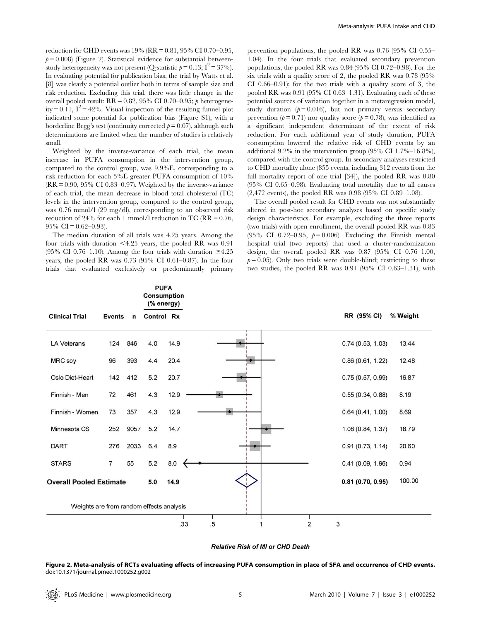reduction for CHD events was 19% (RR = 0.81, 95% CI 0.70–0.95,  $p= 0.008$  (Figure 2). Statistical evidence for substantial betweenstudy heterogeneity was not present (Q-statistic  $p = 0.13$ ;  $I^2 = 37\%$ ). In evaluating potential for publication bias, the trial by Watts et al. [8] was clearly a potential outlier both in terms of sample size and risk reduction. Excluding this trial, there was little change in the overall pooled result:  $RR = 0.82$ , 95% CI 0.70–0.95;  $\beta$  heterogeneity = 0.11,  $I^2 = 42\%$ . Visual inspection of the resulting funnel plot indicated some potential for publication bias (Figure S1), with a borderline Begg's test (continuity corrected  $p = 0.07$ ), although such determinations are limited when the number of studies is relatively small.

Weighted by the inverse-variance of each trial, the mean increase in PUFA consumption in the intervention group, compared to the control group, was 9.9%E, corresponding to a risk reduction for each 5%E greater PUFA consumption of 10%  $(RR = 0.90, 95\% \text{ CI } 0.83{\text{-}}0.97)$ . Weighted by the inverse-variance of each trial, the mean decrease in blood total cholesterol (TC) levels in the intervention group, compared to the control group, was 0.76 mmol/l (29 mg/dl), corresponding to an observed risk reduction of 24% for each 1 mmol/l reduction in TC ( $RR = 0.76$ , 95% CI =  $0.62 - 0.93$ ).

The median duration of all trials was 4.25 years. Among the four trials with duration  $\leq 4.25$  years, the pooled RR was 0.91 (95% CI 0.76–1.10). Among the four trials with duration  $\geq 4.25$ years, the pooled RR was 0.73 (95% CI 0.61–0.87). In the four trials that evaluated exclusively or predominantly primary prevention populations, the pooled RR was 0.76 (95% CI 0.55– 1.04). In the four trials that evaluated secondary prevention populations, the pooled RR was 0.84 (95% CI 0.72–0.98). For the six trials with a quality score of 2, the pooled RR was 0.78 (95% CI 0.66–0.91); for the two trials with a quality score of 3, the pooled RR was 0.91 (95% CI 0.63–1.31). Evaluating each of these potential sources of variation together in a metaregression model, study duration  $(p= 0.016)$ , but not primary versus secondary prevention ( $p = 0.71$ ) nor quality score ( $p = 0.78$ ), was identified as a significant independent determinant of the extent of risk reduction. For each additional year of study duration, PUFA consumption lowered the relative risk of CHD events by an additional 9.2% in the intervention group (95% CI 1.7%–16.8%), compared with the control group. In secondary analyses restricted to CHD mortality alone (855 events, including 312 events from the full mortality report of one trial [34]), the pooled RR was 0.80 (95% CI 0.65–0.98). Evaluating total mortality due to all causes (2,472 events), the pooled RR was 0.98 (95% CI 0.89–1.08).

The overall pooled result for CHD events was not substantially altered in post-hoc secondary analyses based on specific study design characteristics. For example, excluding the three reports (two trials) with open enrollment, the overall pooled RR was 0.83 (95% CI 0.72–0.95,  $p=0.006$ ). Excluding the Finnish mental hospital trial (two reports) that used a cluster-randomization design, the overall pooled RR was 0.87 (95% CI 0.76–1.00,  $p= 0.05$ ). Only two trials were double-blind; restricting to these two studies, the pooled RR was 0.91 (95% CI 0.63–1.31), with

|                                          |                |             | <b>PUFA</b><br><b>Consumption</b><br>(% energy) |      |                      |                   |          |
|------------------------------------------|----------------|-------------|-------------------------------------------------|------|----------------------|-------------------|----------|
| <b>Clinical Trial</b>                    | <b>Events</b>  | $\mathbf n$ | Control Rx                                      |      |                      | RR (95% CI)       | % Weight |
| <b>LA Veterans</b>                       | 124            | 846         | 4.0                                             | 14.9 |                      | 0.74(0.53, 1.03)  | 13.44    |
| MRC soy                                  | 96             | 393         | 4.4                                             | 20.4 |                      | 0.86(0.61, 1.22)  | 12.48    |
| Oslo Diet-Heart                          | 142            | 412         | 5.2                                             | 20.7 |                      | 0.75(0.57, 0.99)  | 16.87    |
| Finnish - Men                            | 72             | 461         | 4.3                                             | 12.9 |                      | 0.55(0.34, 0.88)  | 8.19     |
| Finnish - Women                          | 73             | 357         | 4.3                                             | 12.9 |                      | 0.64(0.41, 1.00)  | 8.69     |
| Minnesota CS                             | 252            | 9057        | 5.2                                             | 14.7 |                      | 1.08 (0.84, 1.37) | 18.79    |
| <b>DART</b>                              | 276            | 2033        | 6.4                                             | 8.9  |                      | 0.91(0.73, 1.14)  | 20.60    |
| <b>STARS</b>                             | $\overline{7}$ | 55          | 5.2                                             | 8.0  |                      | 0.41(0.09, 1.96)  | 0.94     |
| <b>Overall Pooled Estimate</b>           |                |             | 5.0                                             | 14.9 |                      | 0.81(0.70, 0.95)  | 100.00   |
| Weights are from random effects analysis |                |             |                                                 |      |                      |                   |          |
|                                          |                |             |                                                 | .33  | $\overline{2}$<br>.5 | 3                 |          |

#### **Relative Risk of MI or CHD Death**

Figure 2. Meta-analysis of RCTs evaluating effects of increasing PUFA consumption in place of SFA and occurrence of CHD events. doi:10.1371/journal.pmed.1000252.g002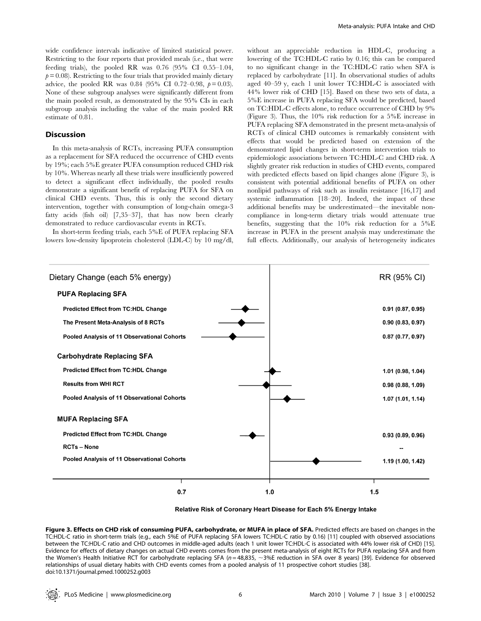wide confidence intervals indicative of limited statistical power. Restricting to the four reports that provided meals (i.e., that were feeding trials), the pooled RR was 0.76 (95% CI 0.55–1.04,  $p = 0.08$ ). Restricting to the four trials that provided mainly dietary advice, the pooled RR was 0.84 (95% CI 0.72–0.98,  $p = 0.03$ ). None of these subgroup analyses were significantly different from the main pooled result, as demonstrated by the 95% CIs in each subgroup analysis including the value of the main pooled RR estimate of 0.81.

## Discussion

In this meta-analysis of RCTs, increasing PUFA consumption as a replacement for SFA reduced the occurrence of CHD events by 19%; each 5%E greater PUFA consumption reduced CHD risk by 10%. Whereas nearly all these trials were insufficiently powered to detect a significant effect individually, the pooled results demonstrate a significant benefit of replacing PUFA for SFA on clinical CHD events. Thus, this is only the second dietary intervention, together with consumption of long-chain omega-3 fatty acids (fish oil) [7,35–37], that has now been clearly demonstrated to reduce cardiovascular events in RCTs.

In short-term feeding trials, each 5%E of PUFA replacing SFA lowers low-density lipoprotein cholesterol (LDL-C) by 10 mg/dl,

without an appreciable reduction in HDL-C, producing a lowering of the TC:HDL-C ratio by 0.16; this can be compared to no significant change in the TC:HDL-C ratio when SFA is replaced by carbohydrate [11]. In observational studies of adults aged 40–59 y, each 1 unit lower TC:HDL-C is associated with 44% lower risk of CHD [15]. Based on these two sets of data, a 5%E increase in PUFA replacing SFA would be predicted, based on TC:HDL-C effects alone, to reduce occurrence of CHD by 9% (Figure 3). Thus, the 10% risk reduction for a 5%E increase in PUFA replacing SFA demonstrated in the present meta-analysis of RCTs of clinical CHD outcomes is remarkably consistent with effects that would be predicted based on extension of the demonstrated lipid changes in short-term intervention trials to epidemiologic associations between TC:HDL-C and CHD risk. A slightly greater risk reduction in studies of CHD events, compared with predicted effects based on lipid changes alone (Figure 3), is consistent with potential additional benefits of PUFA on other nonlipid pathways of risk such as insulin resistance [16,17] and systemic inflammation [18–20]. Indeed, the impact of these additional benefits may be underestimated—the inevitable noncompliance in long-term dietary trials would attenuate true benefits, suggesting that the 10% risk reduction for a 5%E increase in PUFA in the present analysis may underestimate the full effects. Additionally, our analysis of heterogeneity indicates



Relative Risk of Coronary Heart Disease for Each 5% Energy Intake

Figure 3. Effects on CHD risk of consuming PUFA, carbohydrate, or MUFA in place of SFA. Predicted effects are based on changes in the TC:HDL-C ratio in short-term trials (e.g., each 5%E of PUFA replacing SFA lowers TC:HDL-C ratio by 0.16) [11] coupled with observed associations between the TC:HDL-C ratio and CHD outcomes in middle-aged adults (each 1 unit lower TC:HDL-C is associated with 44% lower risk of CHD) [15]. Evidence for effects of dietary changes on actual CHD events comes from the present meta-analysis of eight RCTs for PUFA replacing SFA and from the Women's Health Initiative RCT for carbohydrate replacing SFA ( $n=48,835$ ,  $\sim$ 3%E reduction in SFA over 8 years) [39]. Evidence for observed relationships of usual dietary habits with CHD events comes from a pooled analysis of 11 prospective cohort studies [38]. doi:10.1371/journal.pmed.1000252.g003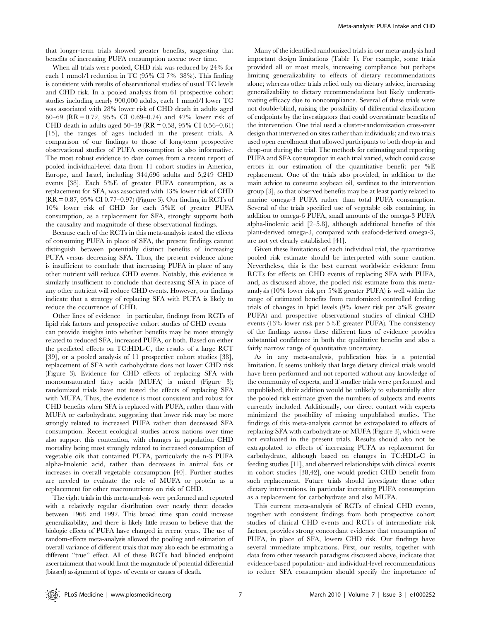that longer-term trials showed greater benefits, suggesting that benefits of increasing PUFA consumption accrue over time.

When all trials were pooled, CHD risk was reduced by 24% for each 1 mmol/l reduction in TC (95% CI 7%–38%). This finding is consistent with results of observational studies of usual TC levels and CHD risk. In a pooled analysis from 61 prospective cohort studies including nearly 900,000 adults, each 1 mmol/l lower TC was associated with 28% lower risk of CHD death in adults aged 60–69 (RR = 0.72, 95% CI 0.69–0.74) and 42% lower risk of CHD death in adults aged  $50-59$  (RR = 0.58, 95% CI 0.56–0.61) [15], the ranges of ages included in the present trials. A comparison of our findings to those of long-term prospective observational studies of PUFA consumption is also informative. The most robust evidence to date comes from a recent report of pooled individual-level data from 11 cohort studies in America, Europe, and Israel, including 344,696 adults and 5,249 CHD events [38]. Each 5%E of greater PUFA consumption, as a replacement for SFA, was associated with 13% lower risk of CHD (RR = 0.87, 95% CI 0.77–0.97) (Figure 3). Our finding in RCTs of 10% lower risk of CHD for each 5%E of greater PUFA consumption, as a replacement for SFA, strongly supports both the causality and magnitude of these observational findings.

Because each of the RCTs in this meta-analysis tested the effects of consuming PUFA in place of SFA, the present findings cannot distinguish between potentially distinct benefits of increasing PUFA versus decreasing SFA. Thus, the present evidence alone is insufficient to conclude that increasing PUFA in place of any other nutrient will reduce CHD events. Notably, this evidence is similarly insufficient to conclude that decreasing SFA in place of any other nutrient will reduce CHD events. However, our findings indicate that a strategy of replacing SFA with PUFA is likely to reduce the occurrence of CHD.

Other lines of evidence—in particular, findings from RCTs of lipid risk factors and prospective cohort studies of CHD events can provide insights into whether benefits may be more strongly related to reduced SFA, increased PUFA, or both. Based on either the predicted effects on TC:HDL-C, the results of a large RCT [39], or a pooled analysis of 11 prospective cohort studies [38], replacement of SFA with carbohydrate does not lower CHD risk (Figure 3). Evidence for CHD effects of replacing SFA with monounsaturated fatty acids (MUFA) is mixed (Figure 3); randomized trials have not tested the effects of replacing SFA with MUFA. Thus, the evidence is most consistent and robust for CHD benefits when SFA is replaced with PUFA, rather than with MUFA or carbohydrate, suggesting that lower risk may be more strongly related to increased PUFA rather than decreased SFA consumption. Recent ecological studies across nations over time also support this contention, with changes in population CHD mortality being most strongly related to increased consumption of vegetable oils that contained PUFA, particularly the n-3 PUFA alpha-linolenic acid, rather than decreases in animal fats or increases in overall vegetable consumption [40]. Further studies are needed to evaluate the role of MUFA or protein as a replacement for other macronutrients on risk of CHD.

The eight trials in this meta-analysis were performed and reported with a relatively regular distribution over nearly three decades between 1968 and 1992. This broad time span could increase generalizability, and there is likely little reason to believe that the biologic effects of PUFA have changed in recent years. The use of random-effects meta-analysis allowed the pooling and estimation of overall variance of different trials that may also each be estimating a different ''true'' effect. All of these RCTs had blinded endpoint ascertainment that would limit the magnitude of potential differential (biased) assignment of types of events or causes of death.

Many of the identified randomized trials in our meta-analysis had important design limitations (Table 1). For example, some trials provided all or most meals, increasing compliance but perhaps limiting generalizability to effects of dietary recommendations alone; whereas other trials relied only on dietary advice, increasing generalizability to dietary recommendations but likely underestimating efficacy due to noncompliance. Several of these trials were not double-blind, raising the possibility of differential classification of endpoints by the investigators that could overestimate benefits of the intervention. One trial used a cluster-randomization cross-over design that intervened on sites rather than individuals; and two trials used open enrollment that allowed participants to both drop-in and drop-out during the trial. The methods for estimating and reporting PUFA and SFA consumption in each trial varied, which could cause errors in our estimation of the quantitative benefit per %E replacement. One of the trials also provided, in addition to the main advice to consume soybean oil, sardines to the intervention group [3], so that observed benefits may be at least partly related to marine omega-3 PUFA rather than total PUFA consumption. Several of the trials specified use of vegetable oils containing, in addition to omega-6 PUFA, small amounts of the omega-3 PUFA alpha-linolenic acid [2–5,8], although additional benefits of this plant-derived omega-3, compared with seafood-derived omega-3, are not yet clearly established [41].

Given these limitations of each individual trial, the quantitative pooled risk estimate should be interpreted with some caution. Nevertheless, this is the best current worldwide evidence from RCTs for effects on CHD events of replacing SFA with PUFA, and, as discussed above, the pooled risk estimate from this metaanalysis (10% lower risk per 5%E greater PUFA) is well within the range of estimated benefits from randomized controlled feeding trials of changes in lipid levels (9% lower risk per 5%E greater PUFA) and prospective observational studies of clinical CHD events (13% lower risk per 5%E greater PUFA). The consistency of the findings across these different lines of evidence provides substantial confidence in both the qualitative benefits and also a fairly narrow range of quantitative uncertainty.

As in any meta-analysis, publication bias is a potential limitation. It seems unlikely that large dietary clinical trials would have been performed and not reported without any knowledge of the community of experts, and if smaller trials were performed and unpublished, their addition would be unlikely to substantially alter the pooled risk estimate given the numbers of subjects and events currently included. Additionally, our direct contact with experts minimized the possibility of missing unpublished studies. The findings of this meta-analysis cannot be extrapolated to effects of replacing SFA with carbohydrate or MUFA (Figure 3), which were not evaluated in the present trials. Results should also not be extrapolated to effects of increasing PUFA as replacement for carbohydrate, although based on changes in TC:HDL-C in feeding studies [11], and observed relationships with clinical events in cohort studies [38,42], one would predict CHD benefit from such replacement. Future trials should investigate these other dietary interventions, in particular increasing PUFA consumption as a replacement for carbohydrate and also MUFA.

This current meta-analysis of RCTs of clinical CHD events, together with consistent findings from both prospective cohort studies of clinical CHD events and RCTs of intermediate risk factors, provides strong concordant evidence that consumption of PUFA, in place of SFA, lowers CHD risk. Our findings have several immediate implications. First, our results, together with data from other research paradigms discussed above, indicate that evidence-based population- and individual-level recommendations to reduce SFA consumption should specify the importance of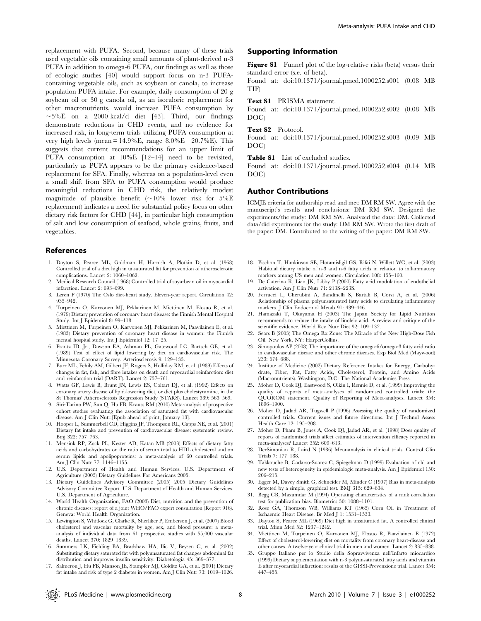replacement with PUFA. Second, because many of these trials used vegetable oils containing small amounts of plant-derived n-3 PUFA in addition to omega-6 PUFA, our findings as well as those of ecologic studies [40] would support focus on n-3 PUFAcontaining vegetable oils, such as soybean or canola, to increase population PUFA intake. For example, daily consumption of 20 g soybean oil or 30 g canola oil, as an isocaloric replacement for other macronutrients, would increase PUFA consumption by  $\sim$ 5%E on a 2000 kcal/d diet [43]. Third, our findings demonstrate reductions in CHD events, and no evidence for increased risk, in long-term trials utilizing PUFA consumption at very high levels (mean =  $14.9\%$ E, range  $8.0\%$ E – $20.7\%$ E). This suggests that current recommendations for an upper limit of PUFA consumption at 10%E [12–14] need to be revisited, particularly as PUFA appears to be the primary evidence-based replacement for SFA. Finally, whereas on a population-level even a small shift from SFA to PUFA consumption would produce meaningful reductions in CHD risk, the relatively modest magnitude of plausible benefit  $(\sim 10\%$  lower risk for  $5\%$ E replacement) indicates a need for substantial policy focus on other dietary risk factors for CHD [44], in particular high consumption of salt and low consumption of seafood, whole grains, fruits, and vegetables.

## References

- 1. Dayton S, Pearce ML, Goldman H, Harnish A, Plotkin D, et al. (1968) Controlled trial of a diet high in unsaturated fat for prevention of atherosclerotic complications. Lancet 2: 1060–1062.
- 2. Medical Research Council (1968) Controlled trial of soya-bean oil in myocardial infarction. Lancet 2: 693–699.
- 3. Leren P (1970) The Oslo diet-heart study. Eleven-year report. Circulation 42: 935–942.
- 4. Turpeinen O, Karvonen MJ, Pekkarinen M, Miettinen M, Elosuo R, et al. (1979) Dietary prevention of coronary heart disease: the Finnish Mental Hospital Study. Int J Epidemiol 8: 99–118.
- 5. Miettinen M, Turpeinen O, Karvonen MJ, Pekkarinen M, Paavilainen E, et al. (1983) Dietary prevention of coronary heart disease in women: the Finnish mental hospital study. Int J Epidemiol 12: 17–25.
- 6. Frantz ID, Jr., Dawson EA, Ashman PL, Gatewood LC, Bartsch GE, et al. (1989) Test of effect of lipid lowering by diet on cardiovascular risk. The Minnesota Coronary Survey. Arteriosclerosis 9: 129–135.
- 7. Burr ML, Fehily AM, Gilbert JF, Rogers S, Holliday RM, et al. (1989) Effects of changes in fat, fish, and fibre intakes on death and myocardial reinfarction: diet and reinfarction trial (DART). Lancet 2: 757–761.
- 8. Watts GF, Lewis B, Brunt JN, Lewis ES, Coltart DJ, et al. (1992) Effects on coronary artery disease of lipid-lowering diet, or diet plus cholestyramine, in the St Thomas' Atherosclerosis Regression Study (STARS). Lancet 339: 563–569.
- 9. Siri-Tarino PW, Sun Q, Hu FB, Krauss RM (2010) Meta-analysis of prospective cohort studies evaluating the association of saturated fat with cardiovascular disease. Am J Clin Nutr;[Epub ahead of print, January 13].
- 10. Hooper L, Summerbell CD, Higgins JP, Thompson RL, Capps NE, et al. (2001) Dietary fat intake and prevention of cardiovascular disease: systematic review. Bmj 322: 757–763.
- 11. Mensink RP, Zock PL, Kester AD, Katan MB (2003) Effects of dietary fatty acids and carbohydrates on the ratio of serum total to HDL cholesterol and on serum lipids and apolipoproteins: a meta-analysis of 60 controlled trials. Am J Clin Nutr 77: 1146–1155.
- 12. U.S. Department of Health and Human Services. U.S. Department of Agriculture (2005) Dietary Guidelines For Americans 2005.
- 13. Dietary Guidelines Advisory Committee (2005) 2005 Dietary Guidelines Advisory Committee Report. U.S. Department of Health and Human Services. U.S. Department of Agriculture.
- 14. World Health Organization, FAO (2003) Diet, nutrition and the prevention of chronic diseases: report of a joint WHO/FAO expert consultation (Report 916). Geneva: World Health Organization.
- 15. Lewington S, Whitlock G, Clarke R, Sherliker P, Emberson J, et al. (2007) Blood cholesterol and vascular mortality by age, sex, and blood pressure: a metaanalysis of individual data from 61 prospective studies with 55,000 vascular deaths. Lancet 370: 1829–1839.
- 16. Summers LK, Fielding BA, Bradshaw HA, Ilic V, Beysen C, et al. (2002) Substituting dietary saturated fat with polyunsaturated fat changes abdominal fat distribution and improves insulin sensitivity. Diabetologia 45: 369–377.
- 17. Salmeron J, Hu FB, Manson JE, Stampfer MJ, Colditz GA, et al. (2001) Dietary fat intake and risk of type 2 diabetes in women. Am J Clin Nutr 73: 1019–1026.

## Supporting Information

Figure S1 Funnel plot of the log-relative risks (beta) versus their standard error (s.e. of beta).

Found at: doi:10.1371/journal.pmed.1000252.s001 (0.08 MB TIF)

#### Text S1 PRISMA statement.

Found at: doi:10.1371/journal.pmed.1000252.s002 (0.08 MB DOC)

#### Text S2 Protocol.

Found at: doi:10.1371/journal.pmed.1000252.s003 (0.09 MB DOC)

#### Table S1 List of excluded studies.

Found at: doi:10.1371/journal.pmed.1000252.s004 (0.14 MB DOC)

## Author Contributions

ICMJE criteria for authorship read and met: DM RM SW. Agree with the manuscript's results and conclusions: DM RM SW. Designed the experiments/the study: DM RM SW. Analyzed the data: DM. Collected data/did experiments for the study: DM RM SW. Wrote the first draft of the paper: DM. Contributed to the writing of the paper: DM RM SW.

- 18. Pischon T, Hankinson SE, Hotamisligil GS, Rifai N, Willett WC, et al. (2003) Habitual dietary intake of n-3 and n-6 fatty acids in relation to inflammatory markers among US men and women. Circulation 108: 155–160.
- 19. De Caterina R, Liao JK, Libby P (2000) Fatty acid modulation of endothelial activation. Am J Clin Nutr 71: 213S–223S.
- 20. Ferrucci L, Cherubini A, Bandinelli S, Bartali B, Corsi A, et al. (2006) Relationship of plasma polyunsaturated fatty acids to circulating inflammatory markers. J Clin Endocrinol Metab 91: 439–446.
- 21. Hamazaki T, Okuyama H (2003) The Japan Society for Lipid Nutrition recommends to reduce the intake of linoleic acid. A review and critique of the scientific evidence. World Rev Nutr Diet 92: 109–132.
- 22. Sears B (2003) The Omega Rx Zone: The Miracle of the New High-Dose Fish Oil. New York, NY: HarperCollins.
- 23. Simopoulos AP (2008) The importance of the omega-6/omega-3 fatty acid ratio in cardiovascular disease and other chronic diseases. Exp Biol Med (Maywood) 233: 674–688.
- 24. Institute of Medicine (2002) Dietary Reference Intakes for Energy, Carbohydrate, Fiber, Fat, Fatty Acids, Cholesterol, Protein, and Amino Acids (Macronutrients). Washington, D.C: The National Academies Press.
- 25. Moher D, Cook DJ, Eastwood S, Olkin I, Rennie D, et al. (1999) Improving the quality of reports of meta-analyses of randomised controlled trials: the QUOROM statement. Quality of Reporting of Meta-analyses. Lancet 354: 1896–1900.
- 26. Moher D, Jadad AR, Tugwell P (1996) Assessing the quality of randomized controlled trials. Current issues and future directions. Int J Technol Assess Health Care 12: 195–208.
- 27. Moher D, Pham B, Jones A, Cook DJ, Jadad AR, et al. (1998) Does quality of reports of randomised trials affect estimates of intervention efficacy reported in meta-analyses? Lancet 352: 609–613.
- 28. DerSimonian R, Laird N (1986) Meta-analysis in clinical trials. Control Clin Trials 7: 177–188.
- 29. Takkouche B, Cadarso-Suarez C, Spiegelman D (1999) Evaluation of old and new tests of heterogeneity in epidemiologic meta-analysis. Am J Epidemiol 150: 206–215.
- 30. Egger M, Davey Smith G, Schneider M, Minder C (1997) Bias in meta-analysis detected by a simple, graphical test. BMJ 315: 629–634.
- 31. Begg CB, Mazumdar M (1994) Operating characteristics of a rank correlation test for publication bias. Biometrics 50: 1088–1101.
- 32. Rose GA, Thomson WB, Williams RT (1965) Corn Oil in Treatment of Ischaemic Heart Disease. Br Med J 1: 1531–1533.
- 33. Dayton S, Pearce ML (1969) Diet high in unsaturated fat. A controlled clinical trial. Minn Med 52: 1237–1242.
- 34. Miettinen M, Turpeinen O, Karvonen MJ, Elosuo R, Paavilainen E (1972) Effect of cholesterol-lowering diet on mortality from coronary heart-disease and other causes. A twelve-year clinical trial in men and women. Lancet 2: 835–838.
- 35. Gruppo Italiano per lo Studio della Sopravvivenza nell'Infarto miocardico (1999) Dietary supplementation with n-3 polyunsaturated fatty acids and vitamin E after myocardial infarction: results of the GISSI-Prevenzione trial. Lancet 354: 447–455.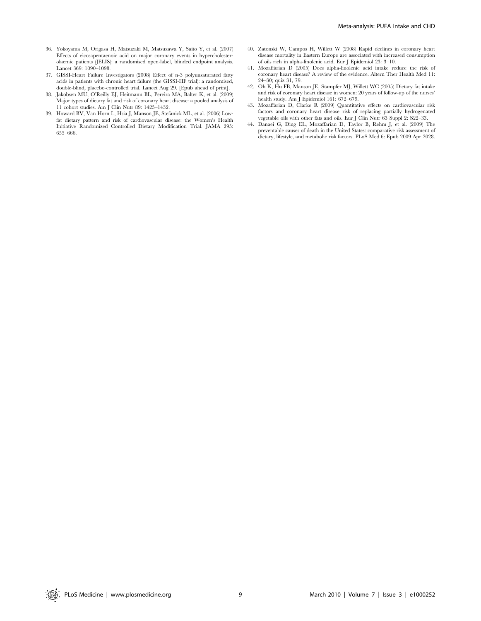- 36. Yokoyama M, Origasa H, Matsuzaki M, Matsuzawa Y, Saito Y, et al. (2007) Effects of eicosapentaenoic acid on major coronary events in hypercholesterolaemic patients (JELIS): a randomised open-label, blinded endpoint analysis. Lancet 369: 1090–1098.
- 37. GISSI-Heart Failure Investigators (2008) Effect of n-3 polyunsaturated fatty acids in patients with chronic heart failure (the GISSI-HF trial): a randomised, double-blind, placebo-controlled trial. Lancet Aug 29. [Epub ahead of print].
- 38. Jakobsen MU, O'Reilly EJ, Heitmann BL, Pereira MA, Balter K, et al. (2009) Major types of dietary fat and risk of coronary heart disease: a pooled analysis of 11 cohort studies. Am J Clin Nutr 89: 1425–1432.
- 39. Howard BV, Van Horn L, Hsia J, Manson JE, Stefanick ML, et al. (2006) Lowfat dietary pattern and risk of cardiovascular disease: the Women's Health Initiative Randomized Controlled Dietary Modification Trial. JAMA 295: 655–666.
- 40. Zatonski W, Campos H, Willett W (2008) Rapid declines in coronary heart disease mortality in Eastern Europe are associated with increased consumption of oils rich in alpha-linolenic acid. Eur J Epidemiol 23: 3–10.
- 41. Mozaffarian D (2005) Does alpha-linolenic acid intake reduce the risk of coronary heart disease? A review of the evidence. Altern Ther Health Med 11: 24–30; quiz 31, 79.
- 42. Oh K, Hu FB, Manson JE, Stampfer MJ, Willett WC (2005) Dietary fat intake and risk of coronary heart disease in women: 20 years of follow-up of the nurses' health study. Am J Epidemiol 161: 672-679.
- 43. Mozaffarian D, Clarke R (2009) Quantitative effects on cardiovascular risk factors and coronary heart disease risk of replacing partially hydrogenated vegetable oils with other fats and oils. Eur J Clin Nutr 63 Suppl 2: S22–33.
- 44. Danaei G, Ding EL, Mozaffarian D, Taylor B, Rehm J, et al. (2009) The preventable causes of death in the United States: comparative risk assessment of dietary, lifestyle, and metabolic risk factors. PLoS Med 6: Epub 2009 Apr 2028.